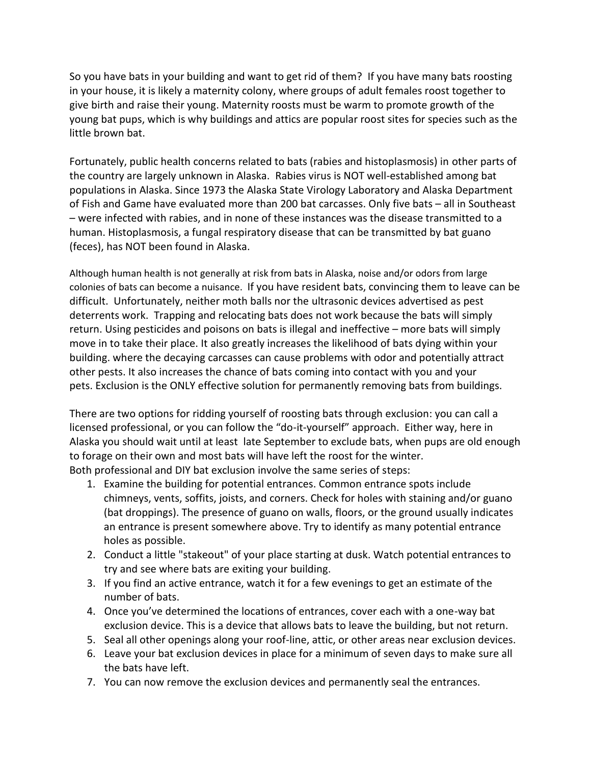So you have bats in your building and want to get rid of them? If you have many bats roosting in your house, it is likely a maternity colony, where groups of adult females roost together to give birth and raise their young. Maternity roosts must be warm to promote growth of the young bat pups, which is why buildings and attics are popular roost sites for species such as the little brown bat.

Fortunately, public health concerns related to bats (rabies and histoplasmosis) in other parts of the country are largely unknown in Alaska. Rabies virus is NOT well-established among bat populations in Alaska. Since 1973 the Alaska State Virology Laboratory and Alaska Department of Fish and Game have evaluated more than 200 bat carcasses. Only five bats – all in Southeast – were infected with rabies, and in none of these instances was the disease transmitted to a human. Histoplasmosis, a fungal respiratory disease that can be transmitted by bat guano (feces), has NOT been found in Alaska.

Although human health is not generally at risk from bats in Alaska, noise and/or odors from large colonies of bats can become a nuisance. If you have resident bats, convincing them to leave can be difficult. Unfortunately, neither moth balls nor the ultrasonic devices advertised as pest deterrents work. Trapping and relocating bats does not work because the bats will simply return. Using pesticides and poisons on bats is illegal and ineffective – more bats will simply move in to take their place. It also greatly increases the likelihood of bats dying within your building. where the decaying carcasses can cause problems with odor and potentially attract other pests. It also increases the chance of bats coming into contact with you and your pets. Exclusion is the ONLY effective solution for permanently removing bats from buildings.

There are two options for ridding yourself of roosting bats through exclusion: you can call a licensed professional, or you can follow the "do-it-yourself" approach. Either way, here in Alaska you should wait until at least late September to exclude bats, when pups are old enough to forage on their own and most bats will have left the roost for the winter. Both professional and DIY bat exclusion involve the same series of steps:

- 1. Examine the building for potential entrances. Common entrance spots include chimneys, vents, soffits, joists, and corners. Check for holes with staining and/or guano (bat droppings). The presence of guano on walls, floors, or the ground usually indicates an entrance is present somewhere above. Try to identify as many potential entrance holes as possible.
- 2. Conduct a little "stakeout" of your place starting at dusk. Watch potential entrances to try and see where bats are exiting your building.
- 3. If you find an active entrance, watch it for a few evenings to get an estimate of the number of bats.
- 4. Once you've determined the locations of entrances, cover each with a one-way bat exclusion device. This is a device that allows bats to leave the building, but not return.
- 5. Seal all other openings along your roof-line, attic, or other areas near exclusion devices.
- 6. Leave your bat exclusion devices in place for a minimum of seven days to make sure all the bats have left.
- 7. You can now remove the exclusion devices and permanently seal the entrances.